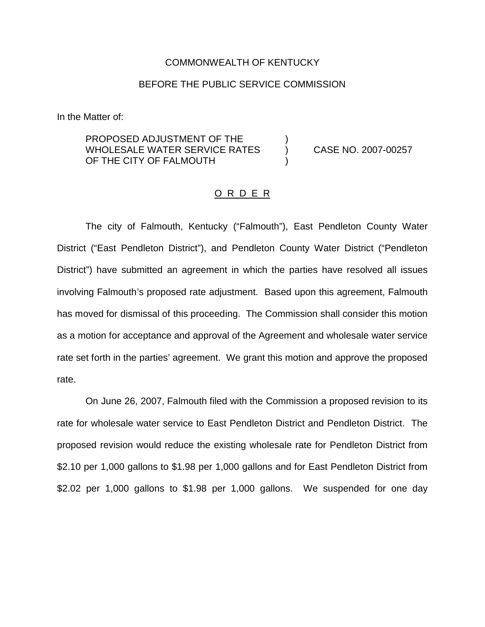## COMMONWEALTH OF KENTUCKY

## BEFORE THE PUBLIC SERVICE COMMISSION

In the Matter of:

PROPOSED ADJUSTMENT OF THE WHOLESALE WATER SERVICE RATES (and CASE NO. 2007-00257) OF THE CITY OF FALMOUTH

## O R D E R

The city of Falmouth, Kentucky ("Falmouth"), East Pendleton County Water District ("East Pendleton District"), and Pendleton County Water District ("Pendleton District") have submitted an agreement in which the parties have resolved all issues involving Falmouth's proposed rate adjustment. Based upon this agreement, Falmouth has moved for dismissal of this proceeding. The Commission shall consider this motion as a motion for acceptance and approval of the Agreement and wholesale water service rate set forth in the parties' agreement. We grant this motion and approve the proposed rate.

On June 26, 2007, Falmouth filed with the Commission a proposed revision to its rate for wholesale water service to East Pendleton District and Pendleton District. The proposed revision would reduce the existing wholesale rate for Pendleton District from \$2.10 per 1,000 gallons to \$1.98 per 1,000 gallons and for East Pendleton District from \$2.02 per 1,000 gallons to \$1.98 per 1,000 gallons. We suspended for one day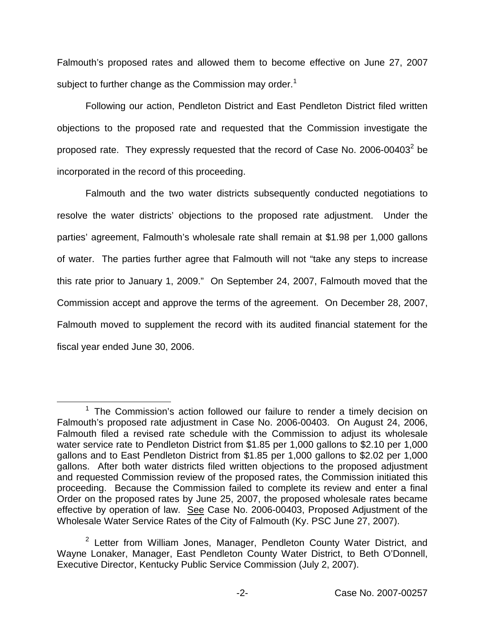Falmouth's proposed rates and allowed them to become effective on June 27, 2007 subject to further change as the Commission may order.<sup>1</sup>

Following our action, Pendleton District and East Pendleton District filed written objections to the proposed rate and requested that the Commission investigate the proposed rate. They expressly requested that the record of Case No. 2006-00403 $^2$  be incorporated in the record of this proceeding.

Falmouth and the two water districts subsequently conducted negotiations to resolve the water districts' objections to the proposed rate adjustment. Under the parties' agreement, Falmouth's wholesale rate shall remain at \$1.98 per 1,000 gallons of water. The parties further agree that Falmouth will not "take any steps to increase this rate prior to January 1, 2009." On September 24, 2007, Falmouth moved that the Commission accept and approve the terms of the agreement. On December 28, 2007, Falmouth moved to supplement the record with its audited financial statement for the fiscal year ended June 30, 2006.

 $1$  The Commission's action followed our failure to render a timely decision on Falmouth's proposed rate adjustment in Case No. 2006-00403. On August 24, 2006, Falmouth filed a revised rate schedule with the Commission to adjust its wholesale water service rate to Pendleton District from \$1.85 per 1,000 gallons to \$2.10 per 1,000 gallons and to East Pendleton District from \$1.85 per 1,000 gallons to \$2.02 per 1,000 gallons. After both water districts filed written objections to the proposed adjustment and requested Commission review of the proposed rates, the Commission initiated this proceeding. Because the Commission failed to complete its review and enter a final Order on the proposed rates by June 25, 2007, the proposed wholesale rates became effective by operation of law. See Case No. 2006-00403, Proposed Adjustment of the Wholesale Water Service Rates of the City of Falmouth (Ky. PSC June 27, 2007).

<sup>&</sup>lt;sup>2</sup> Letter from William Jones, Manager, Pendleton County Water District, and Wayne Lonaker, Manager, East Pendleton County Water District, to Beth O'Donnell, Executive Director, Kentucky Public Service Commission (July 2, 2007).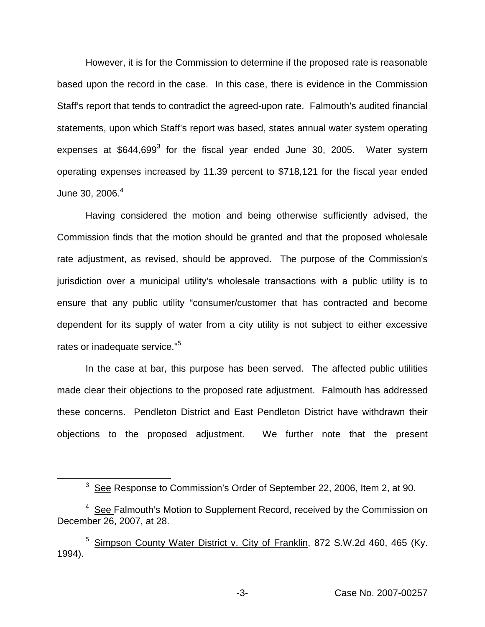However, it is for the Commission to determine if the proposed rate is reasonable based upon the record in the case. In this case, there is evidence in the Commission Staff's report that tends to contradict the agreed-upon rate. Falmouth's audited financial statements, upon which Staff's report was based, states annual water system operating expenses at  $$644,699$ <sup>3</sup> for the fiscal year ended June 30, 2005. Water system operating expenses increased by 11.39 percent to \$718,121 for the fiscal year ended June 30,  $2006.<sup>4</sup>$ 

Having considered the motion and being otherwise sufficiently advised, the Commission finds that the motion should be granted and that the proposed wholesale rate adjustment, as revised, should be approved. The purpose of the Commission's jurisdiction over a municipal utility's wholesale transactions with a public utility is to ensure that any public utility "consumer/customer that has contracted and become dependent for its supply of water from a city utility is not subject to either excessive rates or inadequate service."<sup>5</sup>

In the case at bar, this purpose has been served. The affected public utilities made clear their objections to the proposed rate adjustment. Falmouth has addressed these concerns. Pendleton District and East Pendleton District have withdrawn their objections to the proposed adjustment. We further note that the present

<sup>&</sup>lt;sup>3</sup> See Response to Commission's Order of September 22, 2006, Item 2, at 90.

 $4$  See Falmouth's Motion to Supplement Record, received by the Commission on December 26, 2007, at 28.

Simpson County Water District v. City of Franklin, 872 S.W.2d 460, 465 (Ky. 1994).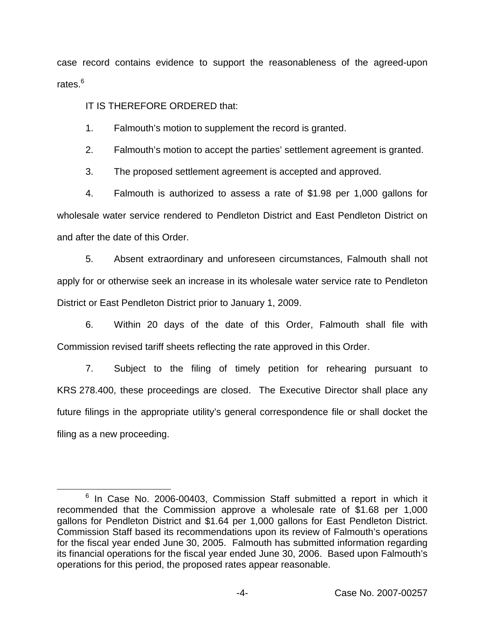case record contains evidence to support the reasonableness of the agreed-upon rates.<sup>6</sup>

IT IS THEREFORE ORDERED that:

1. Falmouth's motion to supplement the record is granted.

2. Falmouth's motion to accept the parties' settlement agreement is granted.

3. The proposed settlement agreement is accepted and approved.

4. Falmouth is authorized to assess a rate of \$1.98 per 1,000 gallons for wholesale water service rendered to Pendleton District and East Pendleton District on and after the date of this Order.

5. Absent extraordinary and unforeseen circumstances, Falmouth shall not apply for or otherwise seek an increase in its wholesale water service rate to Pendleton District or East Pendleton District prior to January 1, 2009.

6. Within 20 days of the date of this Order, Falmouth shall file with Commission revised tariff sheets reflecting the rate approved in this Order.

7. Subject to the filing of timely petition for rehearing pursuant to KRS 278.400, these proceedings are closed. The Executive Director shall place any future filings in the appropriate utility's general correspondence file or shall docket the filing as a new proceeding.

 $6$  In Case No. 2006-00403, Commission Staff submitted a report in which it recommended that the Commission approve a wholesale rate of \$1.68 per 1,000 gallons for Pendleton District and \$1.64 per 1,000 gallons for East Pendleton District. Commission Staff based its recommendations upon its review of Falmouth's operations for the fiscal year ended June 30, 2005. Falmouth has submitted information regarding its financial operations for the fiscal year ended June 30, 2006. Based upon Falmouth's operations for this period, the proposed rates appear reasonable.